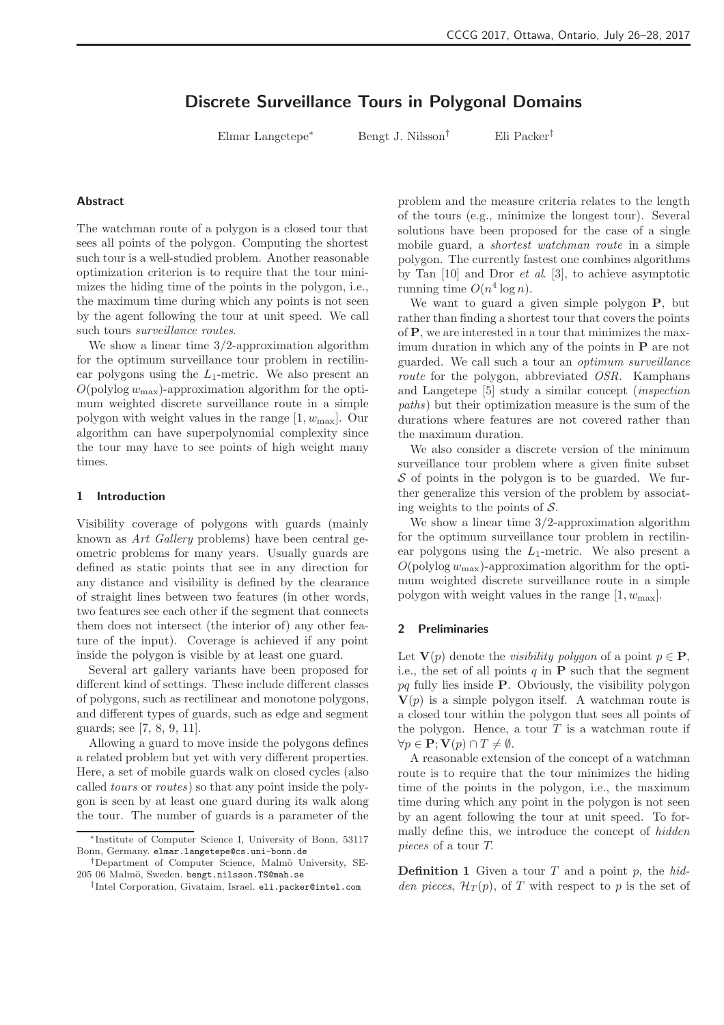# Discrete Surveillance Tours in Polygonal Domains

Elmar Langetepe<sup>∗</sup> Bengt J. Nilsson† Eli Packer‡

### Abstract

The watchman route of a polygon is a closed tour that sees all points of the polygon. Computing the shortest such tour is a well-studied problem. Another reasonable optimization criterion is to require that the tour minimizes the hiding time of the points in the polygon, i.e., the maximum time during which any points is not seen by the agent following the tour at unit speed. We call such tours surveillance routes.

We show a linear time  $3/2$ -approximation algorithm for the optimum surveillance tour problem in rectilinear polygons using the  $L_1$ -metric. We also present an  $O(polylog w_{max})$ -approximation algorithm for the optimum weighted discrete surveillance route in a simple polygon with weight values in the range  $[1, w_{\text{max}}]$ . Our algorithm can have superpolynomial complexity since the tour may have to see points of high weight many times.

#### 1 Introduction

Visibility coverage of polygons with guards (mainly known as Art Gallery problems) have been central geometric problems for many years. Usually guards are defined as static points that see in any direction for any distance and visibility is defined by the clearance of straight lines between two features (in other words, two features see each other if the segment that connects them does not intersect (the interior of) any other feature of the input). Coverage is achieved if any point inside the polygon is visible by at least one guard.

Several art gallery variants have been proposed for different kind of settings. These include different classes of polygons, such as rectilinear and monotone polygons, and different types of guards, such as edge and segment guards; see [7, 8, 9, 11].

Allowing a guard to move inside the polygons defines a related problem but yet with very different properties. Here, a set of mobile guards walk on closed cycles (also called tours or routes) so that any point inside the polygon is seen by at least one guard during its walk along the tour. The number of guards is a parameter of the

problem and the measure criteria relates to the length of the tours (e.g., minimize the longest tour). Several solutions have been proposed for the case of a single mobile guard, a shortest watchman route in a simple polygon. The currently fastest one combines algorithms by Tan  $[10]$  and Dror *et al.*  $[3]$ , to achieve asymptotic running time  $O(n^4 \log n)$ .

We want to guard a given simple polygon **P**, but rather than finding a shortest tour that covers the points of P, we are interested in a tour that minimizes the maximum duration in which any of the points in  $P$  are not guarded. We call such a tour an optimum surveillance route for the polygon, abbreviated OSR. Kamphans and Langetepe [5] study a similar concept (inspection paths) but their optimization measure is the sum of the durations where features are not covered rather than the maximum duration.

We also consider a discrete version of the minimum surveillance tour problem where a given finite subset  $\mathcal S$  of points in the polygon is to be guarded. We further generalize this version of the problem by associating weights to the points of  $S$ .

We show a linear time  $3/2$ -approximation algorithm for the optimum surveillance tour problem in rectilinear polygons using the  $L_1$ -metric. We also present a  $O(polylog w_{\text{max}})$ -approximation algorithm for the optimum weighted discrete surveillance route in a simple polygon with weight values in the range  $[1, w_{\text{max}}]$ .

#### 2 Preliminaries

Let  $\mathbf{V}(p)$  denote the *visibility polygon* of a point  $p \in \mathbf{P}$ , i.e., the set of all points  $q$  in  $P$  such that the segment  $pq$  fully lies inside **P**. Obviously, the visibility polygon  $V(p)$  is a simple polygon itself. A watchman route is a closed tour within the polygon that sees all points of the polygon. Hence, a tour  $T$  is a watchman route if  $\forall p \in \mathbf{P}; \mathbf{V}(p) \cap T \neq \emptyset.$ 

A reasonable extension of the concept of a watchman route is to require that the tour minimizes the hiding time of the points in the polygon, i.e., the maximum time during which any point in the polygon is not seen by an agent following the tour at unit speed. To formally define this, we introduce the concept of hidden pieces of a tour T.

**Definition 1** Given a tour  $T$  and a point  $p$ , the hidden pieces,  $\mathcal{H}_T(p)$ , of T with respect to p is the set of

<sup>∗</sup> Institute of Computer Science I, University of Bonn, 53117 Bonn, Germany. elmar.langetepe@cs.uni-bonn.de

<sup>&</sup>lt;sup>†</sup>Department of Computer Science, Malmö University, SE-205 06 Malmö, Sweden. bengt.nilsson.TS@mah.se

<sup>‡</sup> Intel Corporation, Givataim, Israel. eli.packer@intel.com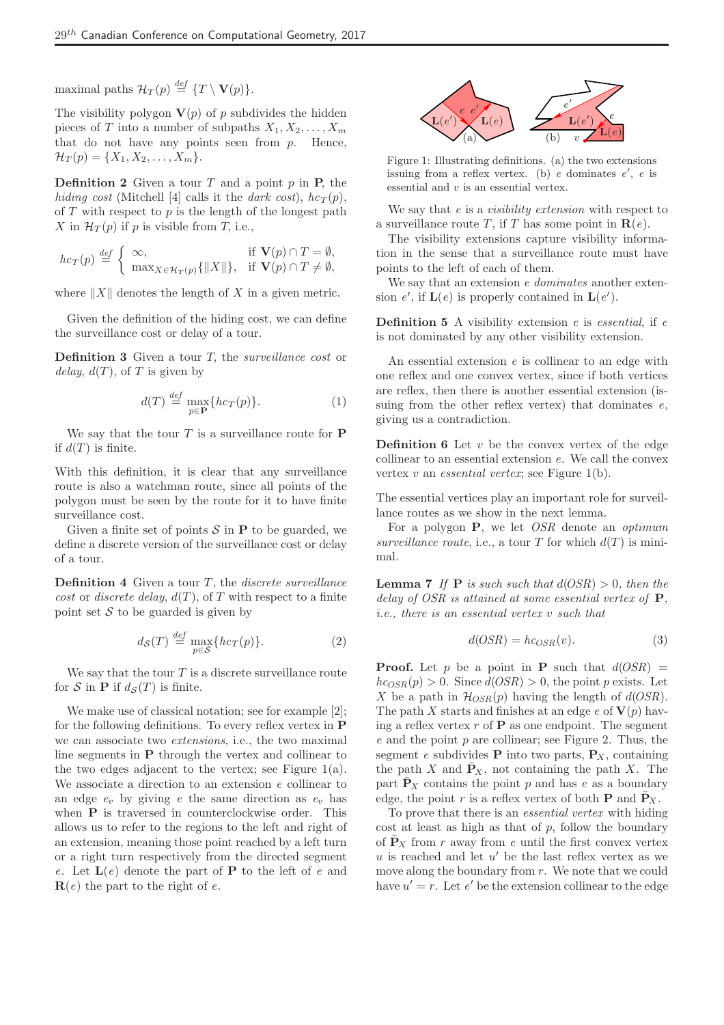maximal paths  $\mathcal{H}_T(p) \stackrel{\textit{def}}{=} \{T \setminus \mathbf{V}(p)\}.$ 

The visibility polygon  $V(p)$  of p subdivides the hidden pieces of T into a number of subpaths  $X_1, X_2, \ldots, X_m$ that do not have any points seen from  $p$ . Hence,  $\mathcal{H}_T(p) = \{X_1, X_2, \ldots, X_m\}.$ 

**Definition 2** Given a tour  $T$  and a point  $p$  in  $P$ , the hiding cost (Mitchell [4] calls it the dark cost),  $hc_T(p)$ , of  $T$  with respect to  $p$  is the length of the longest path X in  $\mathcal{H}_T(p)$  if p is visible from T, i.e.,

$$
hc_T(p) \stackrel{\text{def}}{=} \begin{cases} \infty, & \text{if } \mathbf{V}(p) \cap T = \emptyset, \\ \max_{X \in \mathcal{H}_T(p)} \{ ||X|| \}, & \text{if } \mathbf{V}(p) \cap T \neq \emptyset, \end{cases}
$$

where  $||X||$  denotes the length of X in a given metric.

Given the definition of the hiding cost, we can define the surveillance cost or delay of a tour.

**Definition 3** Given a tour  $T$ , the *surveillance cost* or delay,  $d(T)$ , of T is given by

$$
d(T) \stackrel{def}{=} \max_{p \in \mathbf{P}} \{ h c_T(p) \}.
$$
 (1)

We say that the tour  $T$  is a surveillance route for  $P$ if  $d(T)$  is finite.

With this definition, it is clear that any surveillance route is also a watchman route, since all points of the polygon must be seen by the route for it to have finite surveillance cost.

Given a finite set of points  $\mathcal S$  in **P** to be guarded, we define a discrete version of the surveillance cost or delay of a tour.

**Definition 4** Given a tour  $T$ , the *discrete surveillance* cost or discrete delay,  $d(T)$ , of T with respect to a finite point set  $S$  to be guarded is given by

$$
d_{\mathcal{S}}(T) \stackrel{def}{=} \max_{p \in \mathcal{S}} \{ h c_T(p) \}.
$$
 (2)

We say that the tour  $T$  is a discrete surveillance route for S in P if  $d_{\mathcal{S}}(T)$  is finite.

We make use of classical notation; see for example [2]; for the following definitions. To every reflex vertex in P we can associate two extensions, i.e., the two maximal line segments in P through the vertex and collinear to the two edges adjacent to the vertex; see Figure 1(a). We associate a direction to an extension  $e$  collinear to an edge  $e_v$  by giving e the same direction as  $e_v$  has when **P** is traversed in counterclockwise order. This allows us to refer to the regions to the left and right of an extension, meaning those point reached by a left turn or a right turn respectively from the directed segment e. Let  $L(e)$  denote the part of **P** to the left of e and  $\mathbf{R}(e)$  the part to the right of e.



Figure 1: Illustrating definitions. (a) the two extensions issuing from a reflex vertex. (b) e dominates  $e'$ , e is essential and  $v$  is an essential vertex.

We say that e is a *visibility extension* with respect to a surveillance route T, if T has some point in  $\mathbf{R}(e)$ .

The visibility extensions capture visibility information in the sense that a surveillance route must have points to the left of each of them.

We say that an extension *e dominates* another extension  $e'$ , if  $\mathbf{L}(e)$  is properly contained in  $\mathbf{L}(e')$ .

**Definition 5** A visibility extension  $e$  is *essential*, if  $e$ is not dominated by any other visibility extension.

An essential extension e is collinear to an edge with one reflex and one convex vertex, since if both vertices are reflex, then there is another essential extension (issuing from the other reflex vertex) that dominates  $e$ , giving us a contradiction.

**Definition 6** Let  $v$  be the convex vertex of the edge collinear to an essential extension e. We call the convex vertex  $v$  an *essential vertex*; see Figure 1(b).

The essential vertices play an important role for surveillance routes as we show in the next lemma.

For a polygon  $P$ , we let *OSR* denote an *optimum* surveillance route, i.e., a tour T for which  $d(T)$  is minimal.

**Lemma 7** If **P** is such such that  $d(OSR) > 0$ , then the delay of OSR is attained at some essential vertex of **P**. i.e., there is an essential vertex v such that

$$
d(OSR) = h \cos R(v). \tag{3}
$$

**Proof.** Let p be a point in **P** such that  $d(OSR)$  =  $h c_{OSR}(p) > 0$ . Since  $d(OSR) > 0$ , the point p exists. Let X be a path in  $\mathcal{H}_{OSR}(p)$  having the length of  $d(OSR)$ . The path X starts and finishes at an edge e of  $V(p)$  having a reflex vertex  $r$  of  $P$  as one endpoint. The segment  $e$  and the point  $p$  are collinear; see Figure 2. Thus, the segment e subdivides **P** into two parts,  $P_X$ , containing the path X and  $\bar{P}_X$ , not containing the path X. The part  $\bar{P}_X$  contains the point p and has e as a boundary edge, the point r is a reflex vertex of both **P** and  $P_X$ .

To prove that there is an *essential vertex* with hiding  $\cot$  at least as high as that of p, follow the boundary of  $P_X$  from r away from e until the first convex vertex  $u$  is reached and let  $u'$  be the last reflex vertex as we move along the boundary from r. We note that we could have  $u' = r$ . Let  $e'$  be the extension collinear to the edge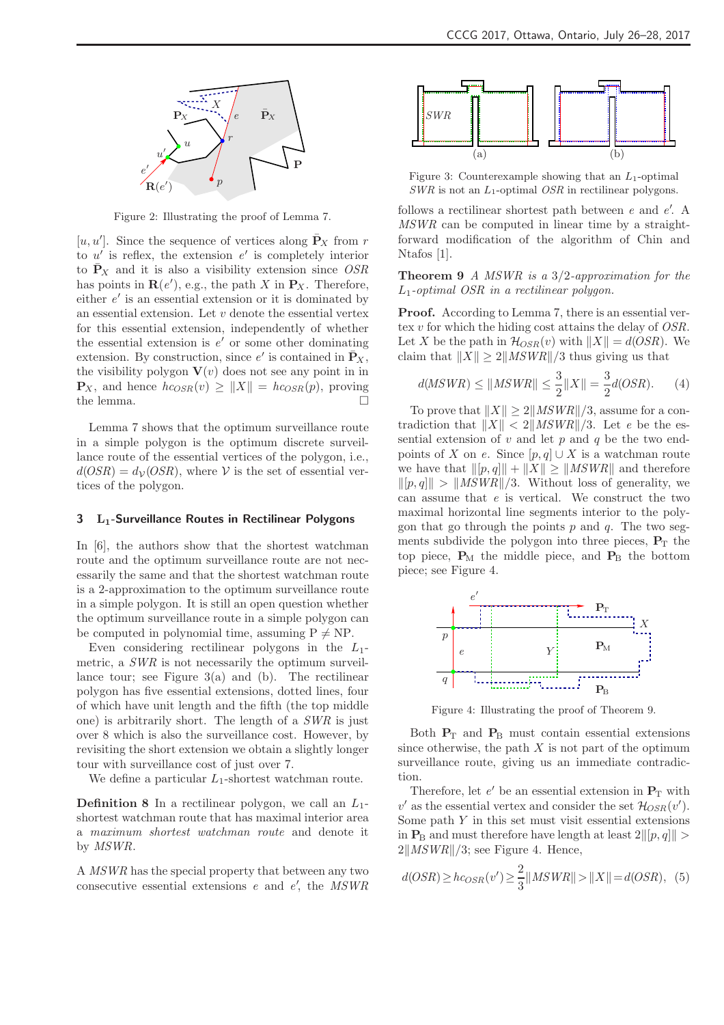

Figure 2: Illustrating the proof of Lemma 7.

[u, u']. Since the sequence of vertices along  $\bar{P}_X$  from r to  $u'$  is reflex, the extension  $e'$  is completely interior to  $\bar{P}_X$  and it is also a visibility extension since OSR has points in  $\mathbf{R}(e')$ , e.g., the path X in  $\mathbf{P}_X$ . Therefore, either  $e'$  is an essential extension or it is dominated by an essential extension. Let  $v$  denote the essential vertex for this essential extension, independently of whether the essential extension is  $e'$  or some other dominating extension. By construction, since  $e'$  is contained in  $\bar{P}_X$ , the visibility polygon  $\mathbf{V}(v)$  does not see any point in in  $\mathbf{P}_X$ , and hence  $hc_{OSR}(v) \geq ||X|| = hc_{OSR}(p)$ , proving the lemma.

Lemma 7 shows that the optimum surveillance route in a simple polygon is the optimum discrete surveillance route of the essential vertices of the polygon, i.e.,  $d(OSR) = d<sub>V</sub>(OSR)$ , where V is the set of essential vertices of the polygon.

#### 3 L<sub>1</sub>-Surveillance Routes in Rectilinear Polygons

In [6], the authors show that the shortest watchman route and the optimum surveillance route are not necessarily the same and that the shortest watchman route is a 2-approximation to the optimum surveillance route in a simple polygon. It is still an open question whether the optimum surveillance route in a simple polygon can be computed in polynomial time, assuming  $P \neq NP$ .

Even considering rectilinear polygons in the  $L_1$ metric, a SWR is not necessarily the optimum surveillance tour; see Figure  $3(a)$  and (b). The rectilinear polygon has five essential extensions, dotted lines, four of which have unit length and the fifth (the top middle one) is arbitrarily short. The length of a SWR is just over 8 which is also the surveillance cost. However, by revisiting the short extension we obtain a slightly longer tour with surveillance cost of just over 7.

We define a particular  $L_1$ -shortest watchman route.

**Definition 8** In a rectilinear polygon, we call an  $L_1$ shortest watchman route that has maximal interior area a maximum shortest watchman route and denote it by MSWR.

A MSWR has the special property that between any two consecutive essential extensions  $e$  and  $e'$ , the  $MSWR$ 



Figure 3: Counterexample showing that an  $L_1$ -optimal  $SWR$  is not an  $L_1$ -optimal  $OSR$  in rectilinear polygons.

follows a rectilinear shortest path between  $e$  and  $e'$ . A MSWR can be computed in linear time by a straightforward modification of the algorithm of Chin and Ntafos [1].

**Theorem 9** A MSWR is a  $3/2$ -approximation for the L1-optimal OSR in a rectilinear polygon.

Proof. According to Lemma 7, there is an essential vertex v for which the hiding cost attains the delay of OSR. Let X be the path in  $\mathcal{H}_{OSR}(v)$  with  $||X|| = d(OSR)$ . We claim that  $||X|| \geq 2||MSWR||/3$  thus giving us that

$$
d(MSWR) \le ||MSWR|| \le \frac{3}{2} ||X|| = \frac{3}{2}d(OSR).
$$
 (4)

To prove that  $||X|| \ge 2||MSWR||/3$ , assume for a contradiction that  $||X|| < 2||MSWR||/3$ . Let e be the essential extension of  $v$  and let  $p$  and  $q$  be the two endpoints of X on e. Since  $[p,q] \cup X$  is a watchman route we have that  $\|[p, q]\| + \|X\| \ge \|MSWR\|$  and therefore  $\|[p, q]\| > \|MSWR\|/3.$  Without loss of generality, we can assume that  $e$  is vertical. We construct the two maximal horizontal line segments interior to the polygon that go through the points  $p$  and  $q$ . The two segments subdivide the polygon into three pieces,  $P_T$  the top piece,  $P_M$  the middle piece, and  $P_B$  the bottom piece; see Figure 4.



Figure 4: Illustrating the proof of Theorem 9.

Both  $P_T$  and  $P_B$  must contain essential extensions since otherwise, the path  $X$  is not part of the optimum surveillance route, giving us an immediate contradiction.

Therefore, let  $e'$  be an essential extension in  $P_T$  with  $v'$  as the essential vertex and consider the set  $\mathcal{H}_{OSR}(v')$ . Some path  $Y$  in this set must visit essential extensions in  $P_B$  and must therefore have length at least  $2\|[p, q]\| >$  $2\|MSWR\|/3$ ; see Figure 4. Hence,

$$
d(OSR) \ge hc_{OSR}(v') \ge \frac{2}{3} || MSWR || > ||X|| = d(OSR), \quad (5)
$$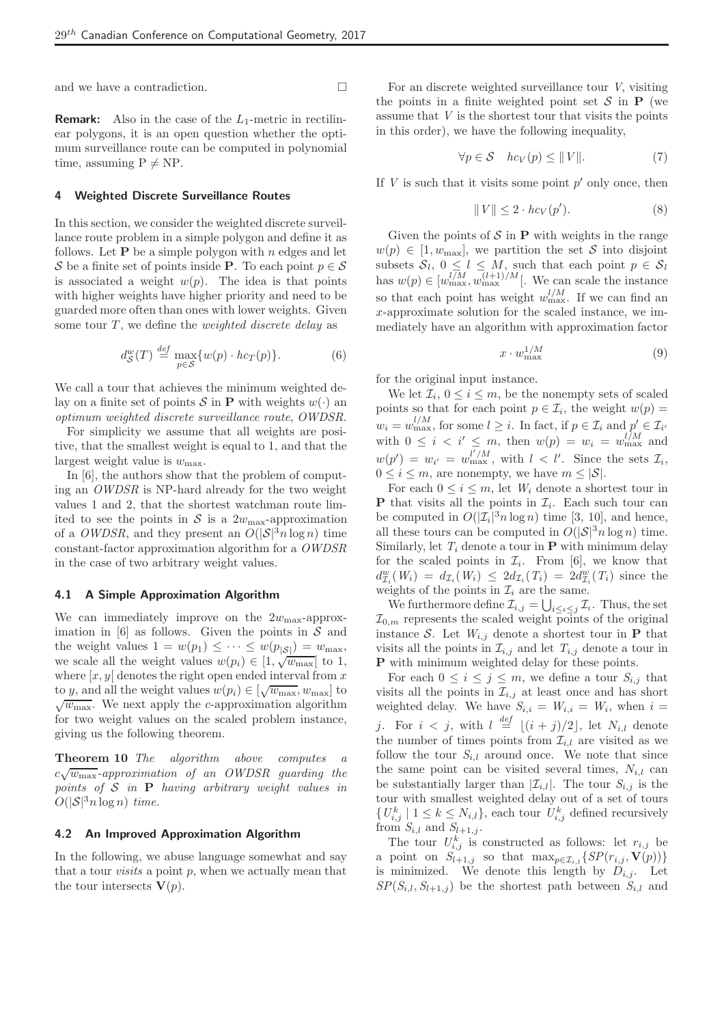and we have a contradiction.  $\hfill \square$ 

**Remark:** Also in the case of the  $L_1$ -metric in rectilinear polygons, it is an open question whether the optimum surveillance route can be computed in polynomial time, assuming  $P \neq NP$ .

#### 4 Weighted Discrete Surveillance Routes

In this section, we consider the weighted discrete surveillance route problem in a simple polygon and define it as follows. Let  $P$  be a simple polygon with n edges and let S be a finite set of points inside P. To each point  $p \in \mathcal{S}$ is associated a weight  $w(p)$ . The idea is that points with higher weights have higher priority and need to be guarded more often than ones with lower weights. Given some tour  $T$ , we define the *weighted discrete delay* as

$$
d_{\mathcal{S}}^{w}(T) \stackrel{def}{=} \max_{p \in \mathcal{S}} \{ w(p) \cdot h c_{T}(p) \}.
$$
 (6)

We call a tour that achieves the minimum weighted delay on a finite set of points  $S$  in **P** with weights  $w(\cdot)$  an optimum weighted discrete surveillance route, OWDSR.

For simplicity we assume that all weights are positive, that the smallest weight is equal to 1, and that the largest weight value is  $w_{\text{max}}$ .

In [6], the authors show that the problem of computing an OWDSR is NP-hard already for the two weight values 1 and 2, that the shortest watchman route limited to see the points in S is a  $2w_{\text{max}}$ -approximation of a *OWDSR*, and they present an  $O(|\mathcal{S}|^3 n \log n)$  time constant-factor approximation algorithm for a OWDSR in the case of two arbitrary weight values.

## 4.1 A Simple Approximation Algorithm

We can immediately improve on the  $2w_{\text{max}}$ -approximation in  $[6]$  as follows. Given the points in S and the weight values  $1 = w(p_1) \leq \cdots \leq w(p_{|\mathcal{S}|}) = w_{\text{max}},$ we scale all the weight values  $w(p_i) \in [1, \sqrt{w_{\text{max}}}]$  to 1, where  $[x, y]$  denotes the right open ended interval from x to y, and all the weight values  $w(p_i) \in [\sqrt{w_{\text{max}}}, w_{\text{max}}]$  to  $\sqrt{w_{\text{max}}}$ . We next apply the *c*-approximation algorithm for two weight values on the scaled problem instance, giving us the following theorem.

Theorem 10 The algorithm above computes a  $c\sqrt{w_{\max}}$ -approximation of an OWDSR guarding the points of  $S$  in  $P$  having arbitrary weight values in  $O(|\mathcal{S}|^3 n \log n)$  time.

## 4.2 An Improved Approximation Algorithm

In the following, we abuse language somewhat and say that a tour *visits* a point  $p$ , when we actually mean that the tour intersects  $V(p)$ .

For an discrete weighted surveillance tour  $V$ , visiting the points in a finite weighted point set  $\mathcal S$  in  $P$  (we assume that  $V$  is the shortest tour that visits the points in this order), we have the following inequality,

$$
\forall p \in \mathcal{S} \quad hc_V(p) \le ||V||. \tag{7}
$$

If  $V$  is such that it visits some point  $p'$  only once, then

$$
||V|| \le 2 \cdot hc_V(p'). \tag{8}
$$

Given the points of  $\mathcal S$  in **P** with weights in the range  $w(p) \in [1, w_{\text{max}}],$  we partition the set S into disjoint subsets  $S_l$ ,  $0 \leq l \leq M$ , such that each point  $p \in S_l$ has  $w(p) \in [w_{\text{max}}^{l/M}, w_{\text{max}}^{(l+1)/M}]$ . We can scale the instance so that each point has weight  $w_{\text{max}}^{l/M}$ . If we can find an x-approximate solution for the scaled instance, we immediately have an algorithm with approximation factor

$$
x \cdot w_{\text{max}}^{1/M} \tag{9}
$$

for the original input instance.

We let  $\mathcal{I}_i$ ,  $0 \leq i \leq m$ , be the nonempty sets of scaled points so that for each point  $p \in \mathcal{I}_i$ , the weight  $w(p) =$  $w_i = w_{\text{max}}^{l/M}$ , for some  $l \geq i$ . In fact, if  $p \in \mathcal{I}_i$  and  $p' \in \mathcal{I}_{i'}$ with  $0 \leq i \leq i' \leq m$ , then  $w(p) = w_i = w_{\text{max}}^{i/M}$  and  $w(p') = w_{i'} = w_{\text{max}}^{l'/M}$ , with  $l < l'$ . Since the sets  $\mathcal{I}_i$ ,  $0 \leq i \leq m$ , are nonempty, we have  $m \leq |\mathcal{S}|$ .

For each  $0 \leq i \leq m$ , let  $W_i$  denote a shortest tour in **P** that visits all the points in  $\mathcal{I}_i$ . Each such tour can be computed in  $O(|\mathcal{I}_i|^3 n \log n)$  time [3, 10], and hence, all these tours can be computed in  $O(|\mathcal{S}|^3 n \log n)$  time. Similarly, let  $T_i$  denote a tour in **P** with minimum delay for the scaled points in  $\mathcal{I}_i$ . From [6], we know that  $d_{\mathcal{I}_i}^w(W_i) = d_{\mathcal{I}_i}(W_i) \leq 2d_{\mathcal{I}_i}(T_i) = 2d_{\mathcal{I}_i}^w(T_i)$  since the weights of the points in  $\mathcal{I}_i$  are the same.

We furthermore define  $\mathcal{I}_{i,j} = \bigcup_{i \leq \iota \leq j} \mathcal{I}_{\iota}$ . Thus, the set  $\mathcal{I}_{0,m}$  represents the scaled weight points of the original instance S. Let  $W_{i,j}$  denote a shortest tour in **P** that visits all the points in  $\mathcal{I}_{i,j}$  and let  $T_{i,j}$  denote a tour in P with minimum weighted delay for these points.

For each  $0 \leq i \leq j \leq m$ , we define a tour  $S_{i,j}$  that visits all the points in  $\mathcal{I}_{i,j}$  at least once and has short weighted delay. We have  $S_{i,i} = W_{i,i} = W_i$ , when  $i =$ j. For  $i < j$ , with  $l \stackrel{\text{def}}{=} \lfloor (i+j)/2 \rfloor$ , let  $N_{i,l}$  denote the number of times points from  $\mathcal{I}_{i,l}$  are visited as we follow the tour  $S_{i,l}$  around once. We note that since the same point can be visited several times,  $N_{i,l}$  can be substantially larger than  $|\mathcal{I}_{i,l}|$ . The tour  $S_{i,j}$  is the tour with smallest weighted delay out of a set of tours  $\{U_{i,j}^k | 1 \leq k \leq N_{i,l}\}$ , each tour  $U_{i,j}^k$  defined recursively from  $S_{i,l}$  and  $S_{l+1,j}$ .

The tour  $U_{i,j}^k$  is constructed as follows: let  $r_{i,j}$  be a point on  $S_{l+1,j}$  so that  $\max_{p \in \mathcal{I}_{i,l}} \{ SP(r_{i,j}, \mathbf{V}(p)) \}$ is minimized. We denote this length by  $D_{i,j}$ . Let  $SP(S_{i,l}, S_{l+1,j})$  be the shortest path between  $S_{i,l}$  and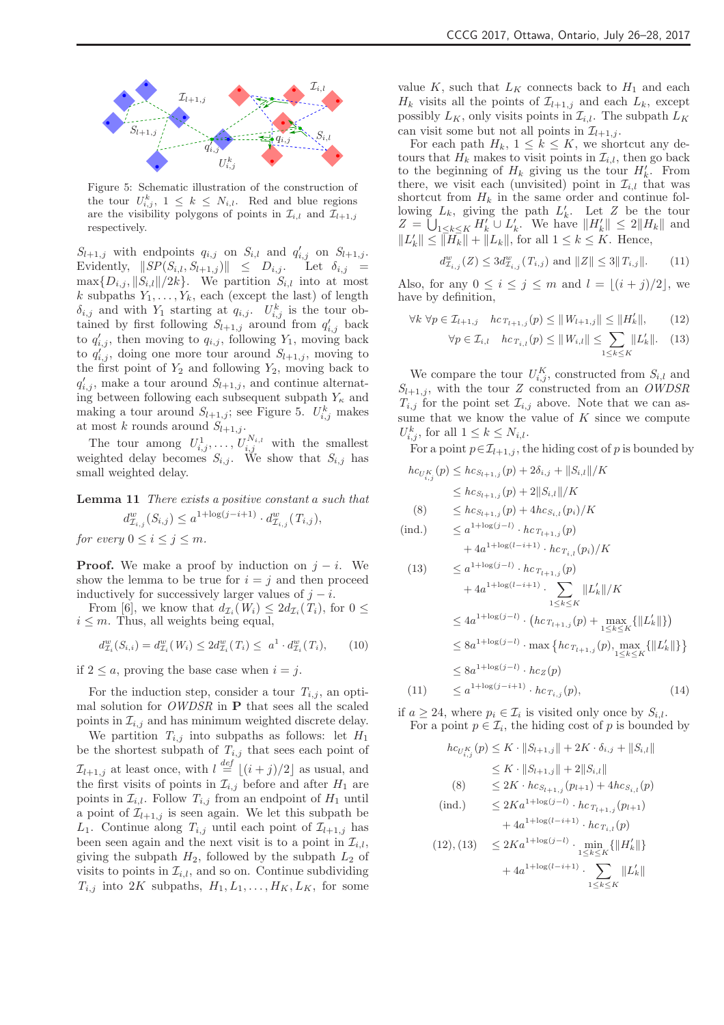

Figure 5: Schematic illustration of the construction of the tour  $U_{i,j}^k$ ,  $1 \leq k \leq N_{i,l}$ . Red and blue regions are the visibility polygons of points in  $\mathcal{I}_{i,l}$  and  $\mathcal{I}_{l+1,j}$ respectively.

 $S_{l+1,j}$  with endpoints  $q_{i,j}$  on  $S_{i,l}$  and  $q'_{i,j}$  on  $S_{l+1,j}$ . Evidently,  $\|SP(S_{i,l}, S_{l+1,j})\| \leq D_{i,j}$  . Let  $\delta_{i,j}$  =  $\max\{D_{i,j}, ||S_{i,l}||/2k\}.$  We partition  $S_{i,l}$  into at most k subpaths  $Y_1, \ldots, Y_k$ , each (except the last) of length  $\delta_{i,j}$  and with  $Y_1$  starting at  $q_{i,j}$ .  $U_{i,j}^k$  is the tour obtained by first following  $S_{l+1,j}$  around from  $q'_{i,j}$  back to  $q'_{i,j}$ , then moving to  $q_{i,j}$ , following  $Y_1$ , moving back to  $q_{i,j}^{\prime\prime}$ , doing one more tour around  $S_{l+1,j}$ , moving to the first point of  $Y_2$  and following  $Y_2$ , moving back to  $q'_{i,j}$ , make a tour around  $S_{l+1,j}$ , and continue alternating between following each subsequent subpath  $Y_{\kappa}$  and making a tour around  $S_{l+1,j}$ ; see Figure 5.  $U_{i,j}^k$  makes at most k rounds around  $S_{l+1,j}$ .

The tour among  $U^1_{i,j},\ldots,U^{N_{i,l}}_{i,j}$  with the smallest weighted delay becomes  $S_{i,j}$ . We show that  $S_{i,j}$  has small weighted delay.

Lemma 11 There exists a positive constant a such that  $d^w_{\mathcal{I}_{i,j}}(S_{i,j}) \leq a^{1 + \log(j-i+1)} \cdot d^w_{\mathcal{I}_{i,j}}(T_{i,j}),$ for every  $0 \leq i \leq j \leq m$ .

**Proof.** We make a proof by induction on  $j - i$ . We show the lemma to be true for  $i = j$  and then proceed inductively for successively larger values of  $j - i$ .

From [6], we know that  $d_{\mathcal{I}_i}(W_i) \leq 2d_{\mathcal{I}_i}(T_i)$ , for  $0 \leq$  $i \leq m$ . Thus, all weights being equal,

$$
d_{\mathcal{I}_i}^w(S_{i,i}) = d_{\mathcal{I}_i}^w(W_i) \le 2d_{\mathcal{I}_i}^w(T_i) \le a^1 \cdot d_{\mathcal{I}_i}^w(T_i), \qquad (10)
$$

if  $2 \leq a$ , proving the base case when  $i = j$ .

For the induction step, consider a tour  $T_{i,j}$ , an optimal solution for  $OWDSR$  in  $P$  that sees all the scaled points in  $\mathcal{I}_{i,j}$  and has minimum weighted discrete delay.

We partition  $T_{i,j}$  into subpaths as follows: let  $H_1$ be the shortest subpath of  $T_{i,j}$  that sees each point of  $\mathcal{I}_{l+1,j}$  at least once, with  $l \stackrel{def}{=} \lfloor (i+j)/2 \rfloor$  as usual, and the first visits of points in  $\mathcal{I}_{i,j}$  before and after  $H_1$  are points in  $\mathcal{I}_{i,l}$ . Follow  $T_{i,j}$  from an endpoint of  $H_1$  until a point of  $\mathcal{I}_{l+1,j}$  is seen again. We let this subpath be  $L_1$ . Continue along  $T_{i,j}$  until each point of  $\mathcal{I}_{l+1,j}$  has been seen again and the next visit is to a point in  $\mathcal{I}_{i,l}$ , giving the subpath  $H_2$ , followed by the subpath  $L_2$  of visits to points in  $\mathcal{I}_{i,l}$ , and so on. Continue subdividing  $T_{i,j}$  into  $2K$  subpaths,  $H_1, L_1, \ldots, H_K, L_K$ , for some

value K, such that  $L_K$  connects back to  $H_1$  and each  $H_k$  visits all the points of  $\mathcal{I}_{l+1,j}$  and each  $L_k$ , except possibly  $L_K$ , only visits points in  $\mathcal{I}_{i,l}$ . The subpath  $L_K$ can visit some but not all points in  $\mathcal{I}_{l+1,j}$ .

For each path  $H_k$ ,  $1 \leq k \leq K$ , we shortcut any detours that  $H_k$  makes to visit points in  $\mathcal{I}_{i,l}$ , then go back to the beginning of  $H_k$  giving us the tour  $H'_k$ . From there, we visit each (unvisited) point in  $\mathcal{I}_{i,l}$  that was shortcut from  $H_k$  in the same order and continue following  $L_k$ , giving the path  $L'_k$ . Let Z be the tour  $Z = \bigcup_{1 \leq k \leq K} H'_k \cup L'_k$ . We have  $\|H'_k\| \leq 2\|H_k\|$  and  $||L'_k|| \le ||\overline{H_k}|| + ||L_k||$ , for all  $1 \le k \le K$ . Hence,

$$
d_{\mathcal{I}_{i,j}}^w(Z) \le 3d_{\mathcal{I}_{i,j}}^w(T_{i,j}) \text{ and } ||Z|| \le 3||T_{i,j}||. \tag{11}
$$

Also, for any  $0 \leq i \leq j \leq m$  and  $l = |(i + j)/2|$ , we have by definition,

$$
\forall k \ \forall p \in \mathcal{I}_{l+1,j} \quad hc_{T_{l+1,j}}(p) \le ||W_{l+1,j}|| \le ||H'_{k}||, \qquad (12)
$$

$$
\forall p \in \mathcal{I}_{i,l} \quad h c_{T_{i,l}}(p) \le ||W_{i,l}|| \le \sum_{1 \le k \le K} ||L'_k||. \quad (13)
$$

We compare the tour  $U_{i,j}^K$ , constructed from  $S_{i,l}$  and  $S_{l+1,j}$ , with the tour Z constructed from an OWDSR  $T_{i,j}$  for the point set  $\mathcal{I}_{i,j}$  above. Note that we can assume that we know the value of  $K$  since we compute  $U_{i,j}^k$ , for all  $1 \leq k \leq N_{i,l}$ .

For a point  $p \in \mathcal{I}_{l+1,j}$ , the hiding cost of p is bounded by

$$
hc_{U_{i,j}^{K}}(p) \leq hc_{S_{l+1,j}}(p) + 2\delta_{i,j} + ||S_{i,l}||/K
$$
  
\n
$$
\leq hc_{S_{l+1,j}}(p) + 2||S_{i,l}||/K
$$
  
\n(8) 
$$
\leq hc_{S_{l+1,j}}(p) + 4hc_{S_{i,l}}(p_i)/K
$$
  
\n(ind.) 
$$
\leq a^{1+\log(j-l)} \cdot hc_{T_{l+1,j}}(p)
$$

+ 4a 1+log(l−i+1) · hc<sup>T</sup>i,l (pi)/K

(13) 
$$
\leq a^{1+\log(j-l)} \cdot hc_{T_{l+1,j}}(p) + 4a^{1+\log(l-i+1)} \cdot \sum_{1 \leq k \leq K} ||L'_{k}||/K \leq 4a^{1+\log(j-l)} \cdot (hc_{T_{l+1,j}}(p) + \max_{1 \leq k \leq K} {||L'_{k}||}) \leq 8a^{1+\log(j-l)} \cdot \max \{hc_{T_{l+1,j}}(p), \max_{1 \leq k \leq K} {||L'_{k}||}\} \leq 8a^{1+\log(j-l)} \cdot hc_{Z}(p) (11) \leq a^{1+\log(j-i+1)} \cdot hc_{T_{i,j}}(p),
$$
(14)

if  $a \geq 24$ , where  $p_i \in \mathcal{I}_i$  is visited only once by  $S_{i,l}$ . For a point  $p \in \mathcal{I}_i$ , the hiding cost of p is bounded by

$$
hc_{U_{i,j}^{K}}(p) \leq K \cdot ||S_{l+1,j}|| + 2K \cdot \delta_{i,j} + ||S_{i,l}||
$$
  
\n
$$
\leq K \cdot ||S_{l+1,j}|| + 2||S_{i,l}||
$$
  
\n(8) 
$$
\leq 2K \cdot hc_{S_{l+1,j}}(p_{l+1}) + 4hc_{S_{i,l}}(p)
$$
  
\n(ind.) 
$$
\leq 2Ka^{1+\log(j-l)} \cdot hc_{T_{l+1,j}}(p_{l+1})
$$
  
\n
$$
+ 4a^{1+\log(l-i+1)} \cdot hc_{T_{i,l}}(p)
$$
  
\n(12), (13) 
$$
\leq 2Ka^{1+\log(j-l)} \cdot \min_{1 \leq k \leq K} \{||H'_{k}||\}
$$
  
\n
$$
+ 4a^{1+\log(l-i+1)} \cdot \sum_{1 \leq k \leq K} ||L'_{k}||
$$